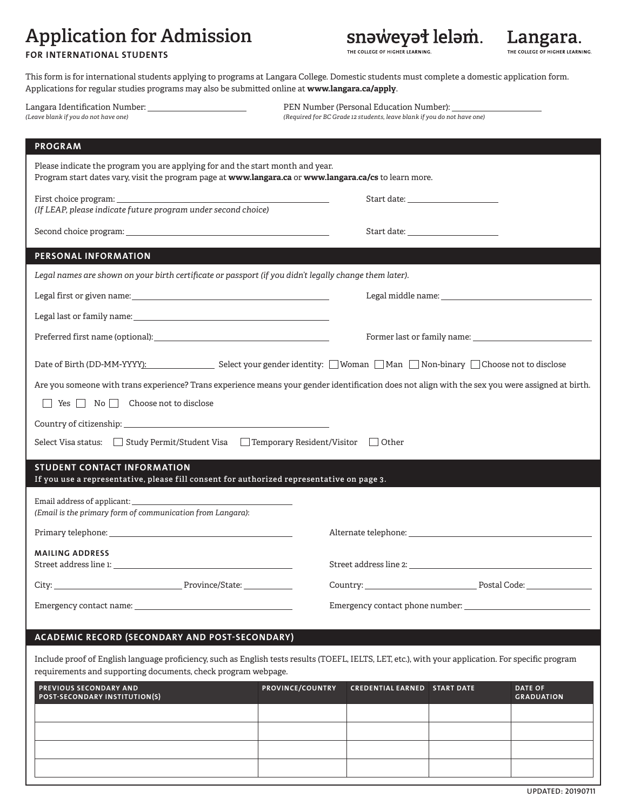## **Application for Admission**

snəweyət leləm.

Langara. LLEGE OF HIGHER LEARNING.

### **FOR INTERNATIONAL STUDENTS**

This form is for international students applying to programs at Langara College. Domestic students must complete a domestic application form. Applications for regular studies programs may also be submitted online at **www.langara.ca/apply**.

| (Leave blank if you do not have one)                                                                                                                                                                                                                                                            | (Required for BC Grade 12 students, leave blank if you do not have one)                                                                                                                                                        |  |  |
|-------------------------------------------------------------------------------------------------------------------------------------------------------------------------------------------------------------------------------------------------------------------------------------------------|--------------------------------------------------------------------------------------------------------------------------------------------------------------------------------------------------------------------------------|--|--|
| <b>PROGRAM</b>                                                                                                                                                                                                                                                                                  |                                                                                                                                                                                                                                |  |  |
| Please indicate the program you are applying for and the start month and year.<br>Program start dates vary, visit the program page at www.langara.ca or www.langara.ca/cs to learn more.                                                                                                        |                                                                                                                                                                                                                                |  |  |
| First choice program: the contract of the contract of the contract of the contract of the contract of the contract of the contract of the contract of the contract of the contract of the contract of the contract of the cont<br>(If LEAP, please indicate future program under second choice) | Start date: The Commission of the Commission of the Commission of the Commission of the Commission of the Commission of the Commission of the Commission of the Commission of the Commission of the Commission of the Commissi |  |  |
|                                                                                                                                                                                                                                                                                                 | Start date: the contract of the contract of the contract of the contract of the contract of the contract of the contract of the contract of the contract of the contract of the contract of the contract of the contract of th |  |  |
| PERSONAL INFORMATION                                                                                                                                                                                                                                                                            |                                                                                                                                                                                                                                |  |  |
| Legal names are shown on your birth certificate or passport (if you didn't legally change them later).                                                                                                                                                                                          |                                                                                                                                                                                                                                |  |  |
|                                                                                                                                                                                                                                                                                                 |                                                                                                                                                                                                                                |  |  |
| Legal last or family name: which is a set of the set of the set of the set of the set of the set of the set of the set of the set of the set of the set of the set of the set of the set of the set of the set of the set of t                                                                  |                                                                                                                                                                                                                                |  |  |
|                                                                                                                                                                                                                                                                                                 |                                                                                                                                                                                                                                |  |  |
|                                                                                                                                                                                                                                                                                                 | Date of Birth (DD-MM-YYYY): Select your gender identity: □Woman □Man □Non-binary □Choose not to disclose                                                                                                                       |  |  |
|                                                                                                                                                                                                                                                                                                 | Are you someone with trans experience? Trans experience means your gender identification does not align with the sex you were assigned at birth.                                                                               |  |  |
| $\Box$ Yes $\Box$ No $\Box$ Choose not to disclose                                                                                                                                                                                                                                              |                                                                                                                                                                                                                                |  |  |
| Country of citizenship: the control of the control of the control of the control of the control of the control of the control of the control of the control of the control of the control of the control of the control of the                                                                  |                                                                                                                                                                                                                                |  |  |
| Select Visa status: Study Permit/Student Visa Interproperary Resident/Visitor Cother                                                                                                                                                                                                            |                                                                                                                                                                                                                                |  |  |
| <b>STUDENT CONTACT INFORMATION</b><br>If you use a representative, please fill consent for authorized representative on page 3.                                                                                                                                                                 |                                                                                                                                                                                                                                |  |  |
|                                                                                                                                                                                                                                                                                                 |                                                                                                                                                                                                                                |  |  |
| (Email is the primary form of communication from Langara):                                                                                                                                                                                                                                      |                                                                                                                                                                                                                                |  |  |
|                                                                                                                                                                                                                                                                                                 |                                                                                                                                                                                                                                |  |  |
| <b>MAILING ADDRESS</b><br>Street address line 1: The contract of the state of the state of the state of the state of the state of the state of the state of the state of the state of the state of the state of the state of the state of the state of t                                        | Street address line 2: North and the state of the state of the state of the state of the state of the state of the state of the state of the state of the state of the state of the state of the state of the state of the sta |  |  |
|                                                                                                                                                                                                                                                                                                 |                                                                                                                                                                                                                                |  |  |
|                                                                                                                                                                                                                                                                                                 |                                                                                                                                                                                                                                |  |  |

## **ACADEMIC RECORD (SECONDARY AND POST-SECONDARY)**

Include proof of English language proficiency, such as English tests results (TOEFL, IELTS, LET, etc.), with your application. For specific program requirements and supporting documents, check program webpage.

| <b>PREVIOUS SECONDARY AND</b><br>POST-SECONDARY INSTITUTION(S) | <b>PROVINCE/COUNTRY</b> | <b>CREDENTIAL EARNED START DATE</b> | <b>DATE OF</b><br><b>GRADUATION</b> |
|----------------------------------------------------------------|-------------------------|-------------------------------------|-------------------------------------|
|                                                                |                         |                                     |                                     |
|                                                                |                         |                                     |                                     |
|                                                                |                         |                                     |                                     |
|                                                                |                         |                                     |                                     |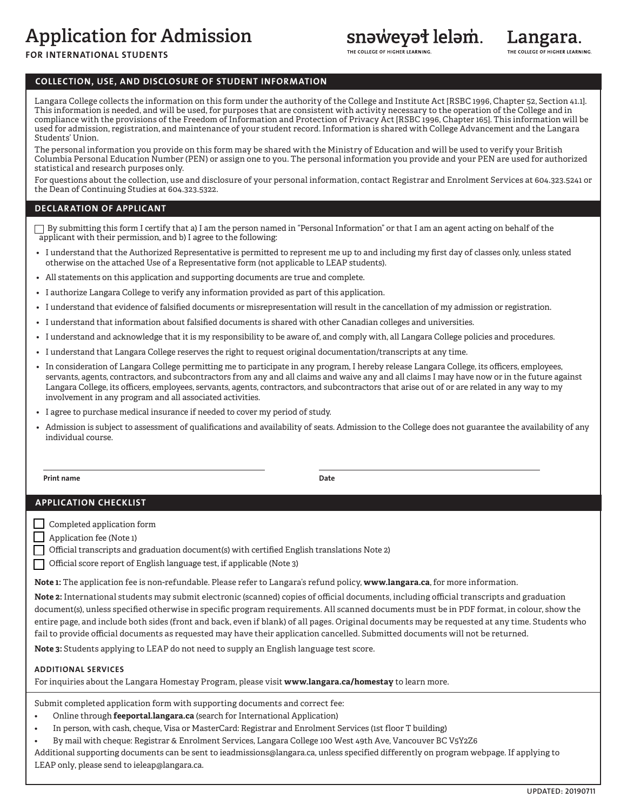# **Application for Admission**

## snəweyət leləm.

**FOR INTERNATIONAL STUDENTS**

### **COLLECTION, USE, AND DISCLOSURE OF STUDENT INFORMATION**

Langara College collects the information on this form under the authority of the College and Institute Act [RSBC 1996, Chapter 52, Section 41.1]. This information is needed, and will be used, for purposes that are consistent with activity necessary to the operation of the College and in compliance with the provisions of the Freedom of Information and Protection of Privacy Act [RSBC 1996, Chapter 165]. This information will be used for admission, registration, and maintenance of your student record. Information is shared with College Advancement and the Langara Students' Union.

The personal information you provide on this form may be shared with the Ministry of Education and will be used to verify your British Columbia Personal Education Number (PEN) or assign one to you. The personal information you provide and your PEN are used for authorized statistical and research purposes only.

For questions about the collection, use and disclosure of your personal information, contact Registrar and Enrolment Services at 604.323.5241 or the Dean of Continuing Studies at 604.323.5322.

#### **DECLARATION OF APPLICANT**

 $\Box$  By submitting this form I certify that a) I am the person named in "Personal Information" or that I am an agent acting on behalf of the applicant with their permission, and b) I agree to the following:

- I understand that the Authorized Representative is permitted to represent me up to and including my first day of classes only, unless stated otherwise on the attached Use of a Representative form (not applicable to LEAP students).
- All statements on this application and supporting documents are true and complete.
- I authorize Langara College to verify any information provided as part of this application.
- I understand that evidence of falsified documents or misrepresentation will result in the cancellation of my admission or registration.
- I understand that information about falsified documents is shared with other Canadian colleges and universities.
- I understand and acknowledge that it is my responsibility to be aware of, and comply with, all Langara College policies and procedures.
- I understand that Langara College reserves the right to request original documentation/transcripts at any time.
- In consideration of Langara College permitting me to participate in any program, I hereby release Langara College, its officers, employees, servants, agents, contractors, and subcontractors from any and all claims and waive any and all claims I may have now or in the future against Langara College, its officers, employees, servants, agents, contractors, and subcontractors that arise out of or are related in any way to my involvement in any program and all associated activities.
- I agree to purchase medical insurance if needed to cover my period of study.
- Admission is subject to assessment of qualifications and availability of seats. Admission to the College does not guarantee the availability of any individual course.

**Print name Date**

### **APPLICATION CHECKLIST**

Completed application form

Application fee (Note 1)

Official transcripts and graduation document(s) with certified English translations Note 2)

Official score report of English language test, if applicable (Note 3)

**Note 1:** The application fee is non-refundable. Please refer to Langara's refund policy, **www.langara.ca**, for more information.

**Note 2:** International students may submit electronic (scanned) copies of official documents, including official transcripts and graduation document(s), unless specified otherwise in specific program requirements. All scanned documents must be in PDF format, in colour, show the entire page, and include both sides (front and back, even if blank) of all pages. Original documents may be requested at any time. Students who fail to provide official documents as requested may have their application cancelled. Submitted documents will not be returned.

**Note 3:** Students applying to LEAP do not need to supply an English language test score.

#### **ADDITIONAL SERVICES**

For inquiries about the Langara Homestay Program, please visit **www.langara.ca/homestay** to learn more.

Submit completed application form with supporting documents and correct fee:

- Online through **[feeportal.langara.ca](https://feeportal.langara.ca/collections/international-applicants/products/application-for-all-programs-for-international-students)** (search for International Application)
- In person, with cash, cheque, Visa or MasterCard: Registrar and Enrolment Services (1st floor T building)
- By mail with cheque: Registrar & Enrolment Services, Langara College 100 West 49th Ave, Vancouver BC V5Y2Z6

Additional supporting documents can be sent to ieadmissions@langara.ca, unless specified differently on program webpage. If applying to LEAP only, please send to ieleap@langara.ca.